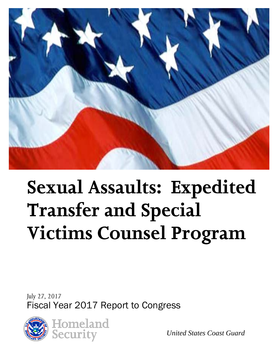

# **Sexual Assaults: Expedited Transfer and Special Victims Counsel Program**

*July 27, 2017* Fiscal Year 2017 Report to Congress



*United States Coast Guard*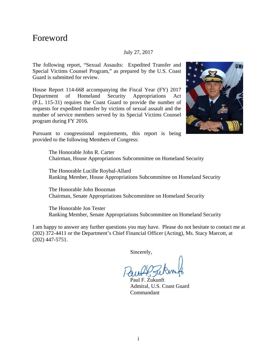#### Foreword

#### July 27, 2017

The following report, "Sexual Assaults: Expedited Transfer and Special Victims Counsel Program," as prepared by the U.S. Coast Guard is submitted for review.

House Report 114-668 accompanying the Fiscal Year (FY) 2017 Department of Homeland Security Appropriations Act (P.L. 115-31) requires the Coast Guard to provide the number of requests for expedited transfer by victims of sexual assault and the number of service members served by its Special Victims Counsel program during FY 2016.



Pursuant to congressional requirements, this report is being provided to the following Members of Congress:

> The Honorable John R. Carter Chairman, House Appropriations Subcommittee on Homeland Security

The Honorable Lucille Roybal-Allard Ranking Member, House Appropriations Subcommittee on Homeland Security

The Honorable John Boozman Chairman, Senate Appropriations Subcommittee on Homeland Security

The Honorable Jon Tester Ranking Member, Senate Appropriations Subcommittee on Homeland Security

I am happy to answer any further questions you may have. Please do not hesitate to contact me at (202) 372-4411 or the Department's Chief Financial Officer (Acting), Ms. Stacy Marcott, at (202) 447-5751.

Sincerely,

Paul F. Zukunft Admiral, U.S. Coast Guard Commandant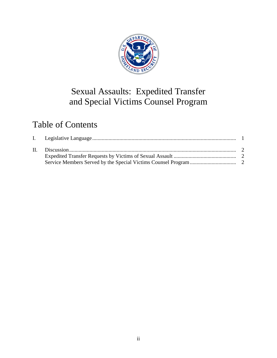

# Sexual Assaults: Expedited Transfer and Special Victims Counsel Program

# Table of Contents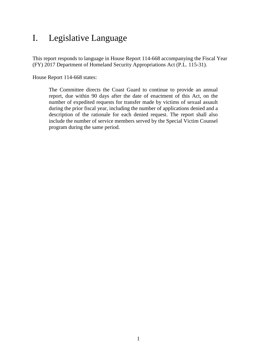### <span id="page-3-0"></span>I. Legislative Language

This report responds to language in House Report 114-668 accompanying the Fiscal Year (FY) 2017 Department of Homeland Security Appropriations Act (P.L. 115-31).

House Report 114-668 states:

The Committee directs the Coast Guard to continue to provide an annual report, due within 90 days after the date of enactment of this Act, on the number of expedited requests for transfer made by victims of sexual assault during the prior fiscal year, including the number of applications denied and a description of the rationale for each denied request. The report shall also include the number of service members served by the Special Victim Counsel program during the same period.